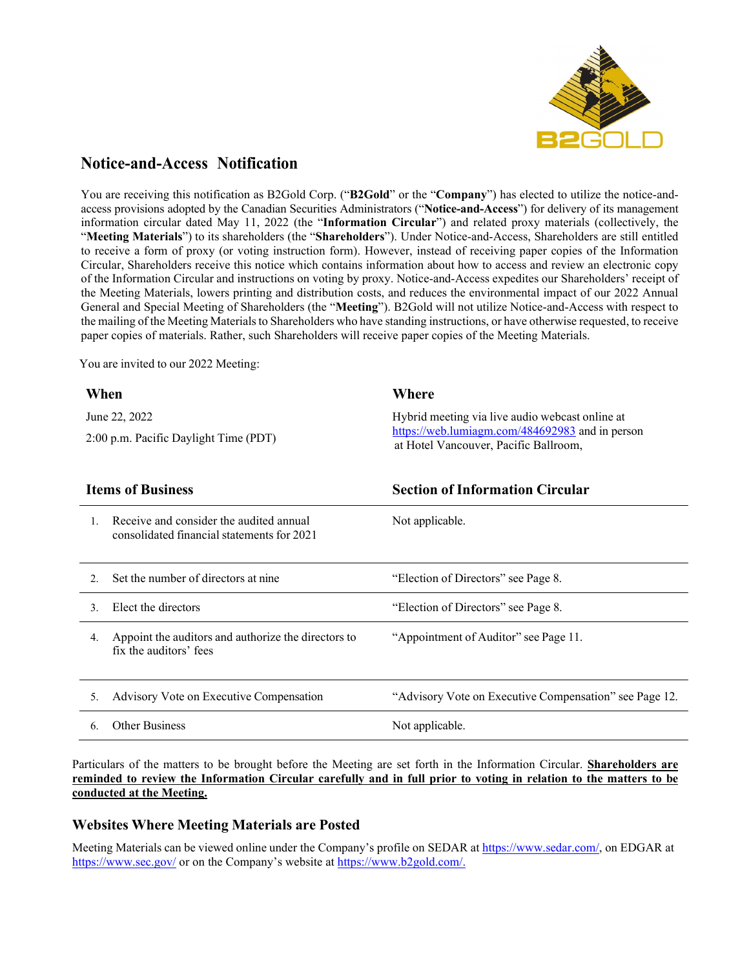

## **Notice-and-Access Notification**

You are receiving this notification as B2Gold Corp. ("**B2Gold**" or the "**Company**") has elected to utilize the notice-andaccess provisions adopted by the Canadian Securities Administrators ("**Notice-and-Access**") for delivery of its management information circular dated May 11, 2022 (the "**Information Circular**") and related proxy materials (collectively, the "**Meeting Materials**") to its shareholders (the "**Shareholders**"). Under Notice-and-Access, Shareholders are still entitled to receive a form of proxy (or voting instruction form). However, instead of receiving paper copies of the Information Circular, Shareholders receive this notice which contains information about how to access and review an electronic copy of the Information Circular and instructions on voting by proxy. Notice-and-Access expedites our Shareholders' receipt of the Meeting Materials, lowers printing and distribution costs, and reduces the environmental impact of our 2022 Annual General and Special Meeting of Shareholders (the "**Meeting**"). B2Gold will not utilize Notice-and-Access with respect to the mailing of the Meeting Materials to Shareholders who have standing instructions, or have otherwise requested, to receive paper copies of materials. Rather, such Shareholders will receive paper copies of the Meeting Materials.

You are invited to our 2022 Meeting:

| When                                                                                        | Where                                                                                                                                       |  |
|---------------------------------------------------------------------------------------------|---------------------------------------------------------------------------------------------------------------------------------------------|--|
| June 22, 2022                                                                               | Hybrid meeting via live audio webcast online at<br>https://web.lumiagm.com/484692983 and in person<br>at Hotel Vancouver, Pacific Ballroom, |  |
| 2:00 p.m. Pacific Daylight Time (PDT)                                                       |                                                                                                                                             |  |
| <b>Items of Business</b>                                                                    | <b>Section of Information Circular</b>                                                                                                      |  |
| Receive and consider the audited annual<br>1.<br>consolidated financial statements for 2021 | Not applicable.                                                                                                                             |  |
| Set the number of directors at nine<br>2.                                                   | "Election of Directors" see Page 8.                                                                                                         |  |
| Elect the directors<br>$\mathcal{E}$                                                        | "Election of Directors" see Page 8.                                                                                                         |  |
| Appoint the auditors and authorize the directors to<br>4.<br>fix the auditors' fees         | "Appointment of Auditor" see Page 11.                                                                                                       |  |
| Advisory Vote on Executive Compensation<br>5.                                               | "Advisory Vote on Executive Compensation" see Page 12.                                                                                      |  |
| Other Business<br>6.                                                                        | Not applicable.                                                                                                                             |  |

Particulars of the matters to be brought before the Meeting are set forth in the Information Circular. **Shareholders are reminded to review the Information Circular carefully and in full prior to voting in relation to the matters to be conducted at the Meeting.**

#### **Websites Where Meeting Materials are Posted**

Meeting Materials can be viewed online under the Company's profile on SEDAR at htt[ps://www.s](http://www.sedar.com/)ed[ar.com/,](http://www.sedar.com/) on EDGAR at htt[ps://www.sec.gov](http://www.sec.gov/)/ or on the Company's website at htt[ps://www.b2gold.com/.](http://www.b2gold.com/)